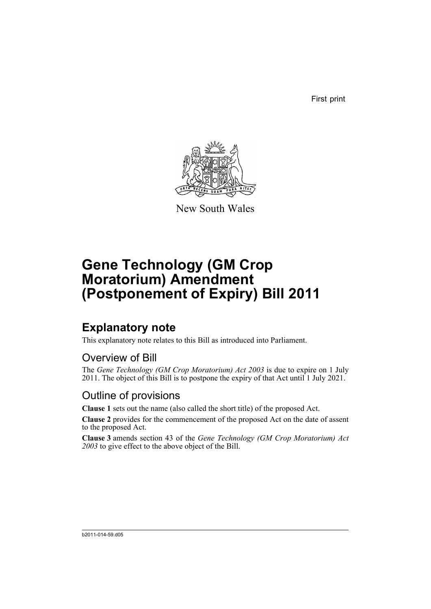First print



New South Wales

# **Gene Technology (GM Crop Moratorium) Amendment (Postponement of Expiry) Bill 2011**

## **Explanatory note**

This explanatory note relates to this Bill as introduced into Parliament.

#### Overview of Bill

The *Gene Technology (GM Crop Moratorium) Act 2003* is due to expire on 1 July 2011. The object of this Bill is to postpone the expiry of that Act until 1 July 2021.

#### Outline of provisions

**Clause 1** sets out the name (also called the short title) of the proposed Act.

**Clause 2** provides for the commencement of the proposed Act on the date of assent to the proposed Act.

**Clause 3** amends section 43 of the *Gene Technology (GM Crop Moratorium) Act 2003* to give effect to the above object of the Bill.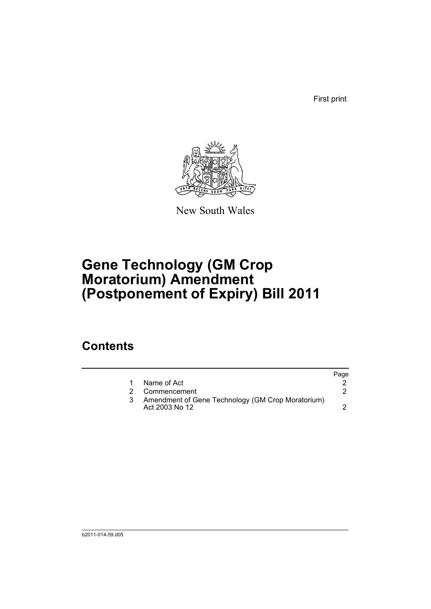First print



New South Wales

# **Gene Technology (GM Crop Moratorium) Amendment (Postponement of Expiry) Bill 2011**

## **Contents**

|   |                                                                     | Page |
|---|---------------------------------------------------------------------|------|
|   | Name of Act                                                         |      |
| 2 | Commencement                                                        |      |
|   | Amendment of Gene Technology (GM Crop Moratorium)<br>Act 2003 No 12 |      |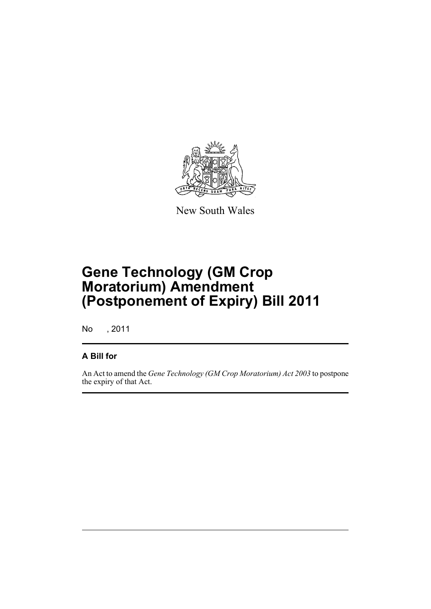

New South Wales

# **Gene Technology (GM Crop Moratorium) Amendment (Postponement of Expiry) Bill 2011**

No , 2011

#### **A Bill for**

An Act to amend the *Gene Technology (GM Crop Moratorium) Act 2003* to postpone the expiry of that Act.